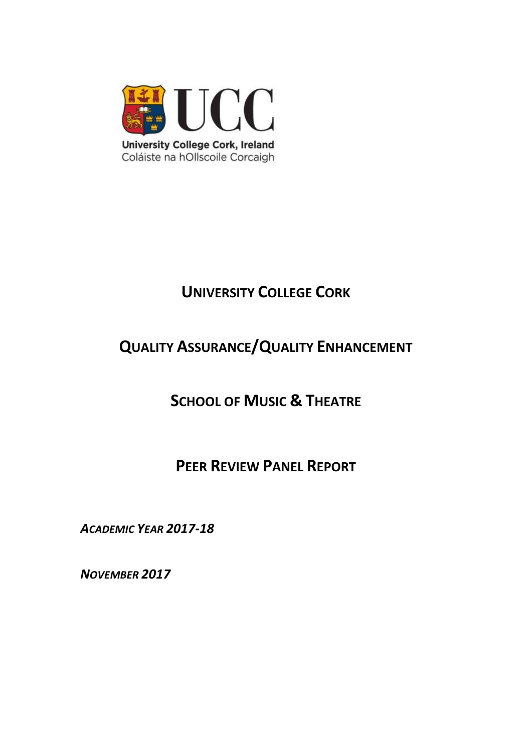

# **UNIVERSITY COLLEGE CORK**

# **QUALITY ASSURANCE/QUALITY ENHANCEMENT**

**SCHOOL OF MUSIC & THEATRE**

**PEER REVIEW PANEL REPORT**

*ACADEMIC YEAR 2017-18*

*NOVEMBER 2017*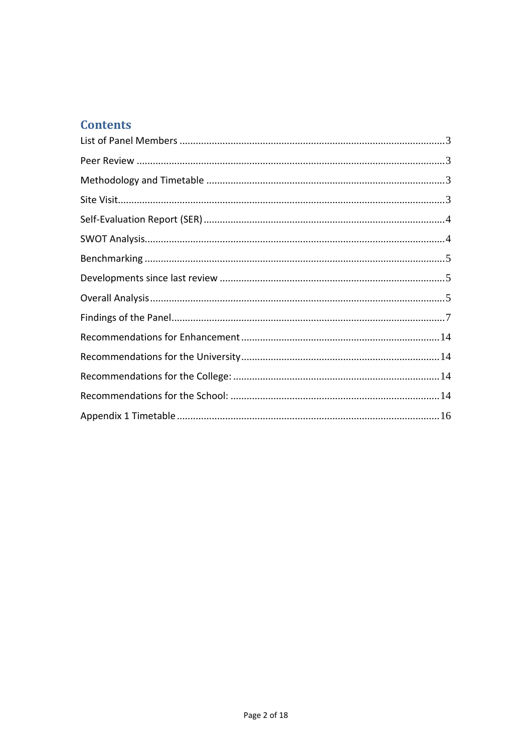# **Contents**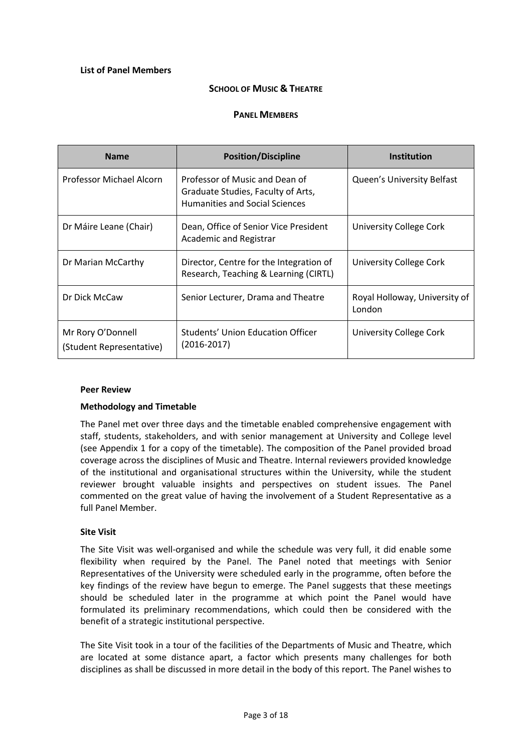#### <span id="page-2-0"></span>**List of Panel Members**

#### **SCHOOL OF MUSIC & THEATRE**

#### **PANEL MEMBERS**

| <b>Name</b>                                   | <b>Position/Discipline</b>                                                                                    | <b>Institution</b>                      |
|-----------------------------------------------|---------------------------------------------------------------------------------------------------------------|-----------------------------------------|
| Professor Michael Alcorn                      | Professor of Music and Dean of<br>Graduate Studies, Faculty of Arts,<br><b>Humanities and Social Sciences</b> | Queen's University Belfast              |
| Dr Máire Leane (Chair)                        | Dean, Office of Senior Vice President<br><b>Academic and Registrar</b>                                        | University College Cork                 |
| Dr Marian McCarthy                            | Director, Centre for the Integration of<br>Research, Teaching & Learning (CIRTL)                              | University College Cork                 |
| Dr Dick McCaw                                 | Senior Lecturer, Drama and Theatre                                                                            | Royal Holloway, University of<br>London |
| Mr Rory O'Donnell<br>(Student Representative) | Students' Union Education Officer<br>$(2016 - 2017)$                                                          | University College Cork                 |

#### <span id="page-2-1"></span>**Peer Review**

#### <span id="page-2-2"></span>**Methodology and Timetable**

The Panel met over three days and the timetable enabled comprehensive engagement with staff, students, stakeholders, and with senior management at University and College level (see Appendix 1 for a copy of the timetable). The composition of the Panel provided broad coverage across the disciplines of Music and Theatre. Internal reviewers provided knowledge of the institutional and organisational structures within the University, while the student reviewer brought valuable insights and perspectives on student issues. The Panel commented on the great value of having the involvement of a Student Representative as a full Panel Member.

#### <span id="page-2-3"></span>**Site Visit**

The Site Visit was well-organised and while the schedule was very full, it did enable some flexibility when required by the Panel. The Panel noted that meetings with Senior Representatives of the University were scheduled early in the programme, often before the key findings of the review have begun to emerge. The Panel suggests that these meetings should be scheduled later in the programme at which point the Panel would have formulated its preliminary recommendations, which could then be considered with the benefit of a strategic institutional perspective.

The Site Visit took in a tour of the facilities of the Departments of Music and Theatre, which are located at some distance apart, a factor which presents many challenges for both disciplines as shall be discussed in more detail in the body of this report. The Panel wishes to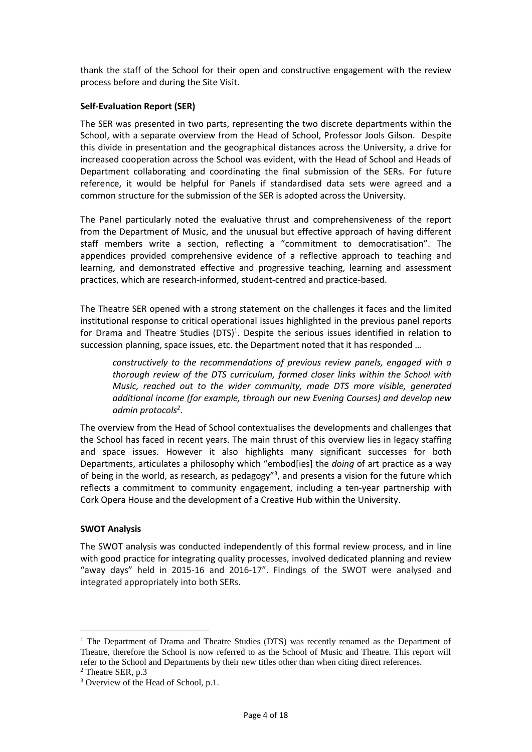thank the staff of the School for their open and constructive engagement with the review process before and during the Site Visit.

#### <span id="page-3-0"></span>**Self-Evaluation Report (SER)**

The SER was presented in two parts, representing the two discrete departments within the School, with a separate overview from the Head of School, Professor Jools Gilson. Despite this divide in presentation and the geographical distances across the University, a drive for increased cooperation across the School was evident, with the Head of School and Heads of Department collaborating and coordinating the final submission of the SERs. For future reference, it would be helpful for Panels if standardised data sets were agreed and a common structure for the submission of the SER is adopted across the University.

The Panel particularly noted the evaluative thrust and comprehensiveness of the report from the Department of Music, and the unusual but effective approach of having different staff members write a section, reflecting a "commitment to democratisation". The appendices provided comprehensive evidence of a reflective approach to teaching and learning, and demonstrated effective and progressive teaching, learning and assessment practices, which are research-informed, student-centred and practice-based.

The Theatre SER opened with a strong statement on the challenges it faces and the limited institutional response to critical operational issues highlighted in the previous panel reports for Drama and Theatre Studies (DTS)<sup>1</sup>. Despite the serious issues identified in relation to succession planning, space issues, etc. the Department noted that it has responded …

*constructively to the recommendations of previous review panels, engaged with a thorough review of the DTS curriculum, formed closer links within the School with Music, reached out to the wider community, made DTS more visible, generated additional income (for example, through our new Evening Courses) and develop new admin protocols<sup>2</sup>* .

The overview from the Head of School contextualises the developments and challenges that the School has faced in recent years. The main thrust of this overview lies in legacy staffing and space issues. However it also highlights many significant successes for both Departments, articulates a philosophy which "embod[ies] the *doing* of art practice as a way of being in the world, as research, as pedagogy"<sup>3</sup>, and presents a vision for the future which reflects a commitment to community engagement, including a ten-year partnership with Cork Opera House and the development of a Creative Hub within the University.

#### <span id="page-3-1"></span>**SWOT Analysis**

The SWOT analysis was conducted independently of this formal review process, and in line with good practice for integrating quality processes, involved dedicated planning and review "away days" held in 2015-16 and 2016-17". Findings of the SWOT were analysed and integrated appropriately into both SERs.

<sup>&</sup>lt;sup>1</sup> The Department of Drama and Theatre Studies (DTS) was recently renamed as the Department of Theatre, therefore the School is now referred to as the School of Music and Theatre. This report will refer to the School and Departments by their new titles other than when citing direct references.

<sup>2</sup> Theatre SER, p.3

<sup>&</sup>lt;sup>3</sup> Overview of the Head of School, p.1.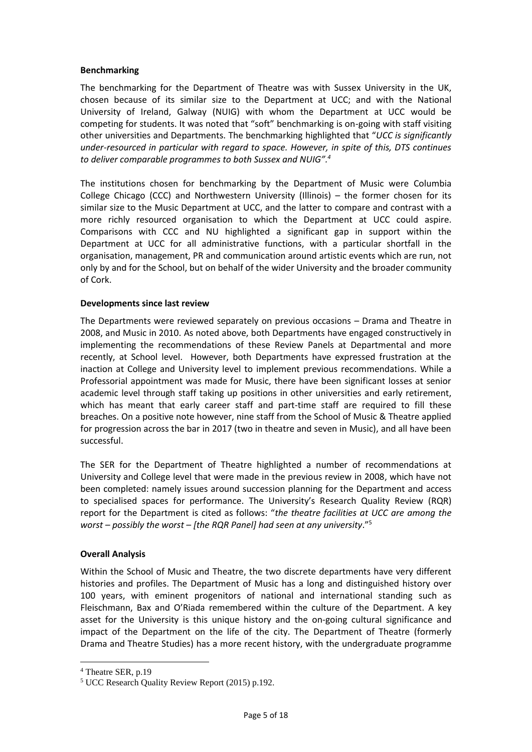#### <span id="page-4-0"></span>**Benchmarking**

The benchmarking for the Department of Theatre was with Sussex University in the UK, chosen because of its similar size to the Department at UCC; and with the National University of Ireland, Galway (NUIG) with whom the Department at UCC would be competing for students. It was noted that "soft" benchmarking is on-going with staff visiting other universities and Departments. The benchmarking highlighted that "*UCC is significantly under-resourced in particular with regard to space. However, in spite of this, DTS continues to deliver comparable programmes to both Sussex and NUIG". 4*

The institutions chosen for benchmarking by the Department of Music were Columbia College Chicago (CCC) and Northwestern University (Illinois) – the former chosen for its similar size to the Music Department at UCC, and the latter to compare and contrast with a more richly resourced organisation to which the Department at UCC could aspire. Comparisons with CCC and NU highlighted a significant gap in support within the Department at UCC for all administrative functions, with a particular shortfall in the organisation, management, PR and communication around artistic events which are run, not only by and for the School, but on behalf of the wider University and the broader community of Cork.

#### <span id="page-4-1"></span>**Developments since last review**

The Departments were reviewed separately on previous occasions – Drama and Theatre in 2008, and Music in 2010. As noted above, both Departments have engaged constructively in implementing the recommendations of these Review Panels at Departmental and more recently, at School level. However, both Departments have expressed frustration at the inaction at College and University level to implement previous recommendations. While a Professorial appointment was made for Music, there have been significant losses at senior academic level through staff taking up positions in other universities and early retirement, which has meant that early career staff and part-time staff are required to fill these breaches. On a positive note however, nine staff from the School of Music & Theatre applied for progression across the bar in 2017 (two in theatre and seven in Music), and all have been successful.

The SER for the Department of Theatre highlighted a number of recommendations at University and College level that were made in the previous review in 2008, which have not been completed: namely issues around succession planning for the Department and access to specialised spaces for performance. The University's Research Quality Review (RQR) report for the Department is cited as follows: "*the theatre facilities at UCC are among the worst – possibly the worst – [the RQR Panel] had seen at any university*."<sup>5</sup>

#### <span id="page-4-2"></span>**Overall Analysis**

Within the School of Music and Theatre, the two discrete departments have very different histories and profiles. The Department of Music has a long and distinguished history over 100 years, with eminent progenitors of national and international standing such as Fleischmann, Bax and O'Riada remembered within the culture of the Department. A key asset for the University is this unique history and the on-going cultural significance and impact of the Department on the life of the city. The Department of Theatre (formerly Drama and Theatre Studies) has a more recent history, with the undergraduate programme

<sup>4</sup> Theatre SER, p.19

<sup>5</sup> UCC Research Quality Review Report (2015) p.192.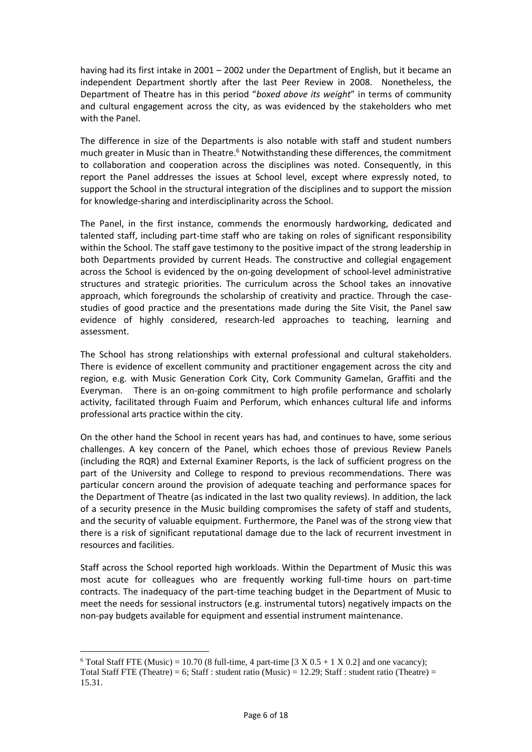having had its first intake in 2001 – 2002 under the Department of English, but it became an independent Department shortly after the last Peer Review in 2008. Nonetheless, the Department of Theatre has in this period "*boxed above its weight*" in terms of community and cultural engagement across the city, as was evidenced by the stakeholders who met with the Panel.

The difference in size of the Departments is also notable with staff and student numbers much greater in Music than in Theatre.<sup>6</sup> Notwithstanding these differences, the commitment to collaboration and cooperation across the disciplines was noted. Consequently, in this report the Panel addresses the issues at School level, except where expressly noted, to support the School in the structural integration of the disciplines and to support the mission for knowledge-sharing and interdisciplinarity across the School.

The Panel, in the first instance, commends the enormously hardworking, dedicated and talented staff, including part-time staff who are taking on roles of significant responsibility within the School. The staff gave testimony to the positive impact of the strong leadership in both Departments provided by current Heads. The constructive and collegial engagement across the School is evidenced by the on-going development of school-level administrative structures and strategic priorities. The curriculum across the School takes an innovative approach, which foregrounds the scholarship of creativity and practice. Through the casestudies of good practice and the presentations made during the Site Visit, the Panel saw evidence of highly considered, research-led approaches to teaching, learning and assessment.

The School has strong relationships with external professional and cultural stakeholders. There is evidence of excellent community and practitioner engagement across the city and region, e.g. with Music Generation Cork City, Cork Community Gamelan, Graffiti and the Everyman. There is an on-going commitment to high profile performance and scholarly activity, facilitated through Fuaim and Perforum, which enhances cultural life and informs professional arts practice within the city.

On the other hand the School in recent years has had, and continues to have, some serious challenges. A key concern of the Panel, which echoes those of previous Review Panels (including the RQR) and External Examiner Reports, is the lack of sufficient progress on the part of the University and College to respond to previous recommendations. There was particular concern around the provision of adequate teaching and performance spaces for the Department of Theatre (as indicated in the last two quality reviews). In addition, the lack of a security presence in the Music building compromises the safety of staff and students, and the security of valuable equipment. Furthermore, the Panel was of the strong view that there is a risk of significant reputational damage due to the lack of recurrent investment in resources and facilities.

Staff across the School reported high workloads. Within the Department of Music this was most acute for colleagues who are frequently working full-time hours on part-time contracts. The inadequacy of the part-time teaching budget in the Department of Music to meet the needs for sessional instructors (e.g. instrumental tutors) negatively impacts on the non-pay budgets available for equipment and essential instrument maintenance.

<sup>&</sup>lt;sup>6</sup> Total Staff FTE (Music) = 10.70 (8 full-time, 4 part-time  $[3 \times 0.5 + 1 \times 0.2]$  and one vacancy); Total Staff FTE (Theatre) = 6; Staff : student ratio (Music) =  $12.29$ ; Staff : student ratio (Theatre) = 15.31.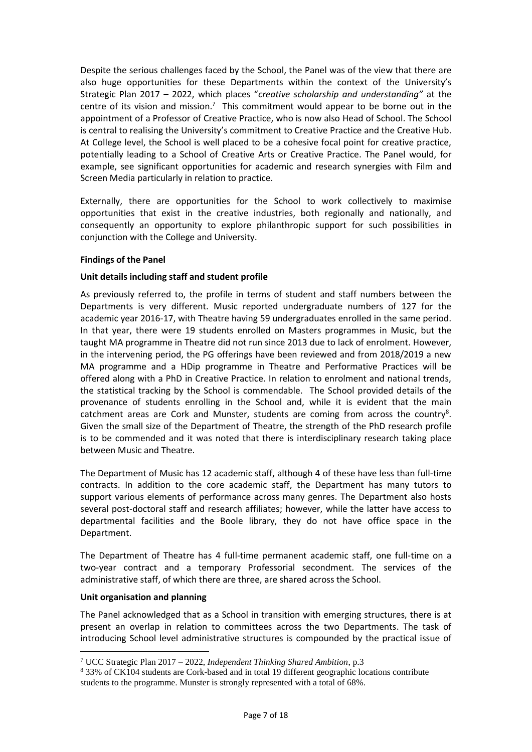Despite the serious challenges faced by the School, the Panel was of the view that there are also huge opportunities for these Departments within the context of the University's Strategic Plan 2017 – 2022, which places "*creative scholarship and understanding"* at the centre of its vision and mission.<sup>7</sup> This commitment would appear to be borne out in the appointment of a Professor of Creative Practice, who is now also Head of School. The School is central to realising the University's commitment to Creative Practice and the Creative Hub. At College level, the School is well placed to be a cohesive focal point for creative practice, potentially leading to a School of Creative Arts or Creative Practice. The Panel would, for example, see significant opportunities for academic and research synergies with Film and Screen Media particularly in relation to practice.

Externally, there are opportunities for the School to work collectively to maximise opportunities that exist in the creative industries, both regionally and nationally, and consequently an opportunity to explore philanthropic support for such possibilities in conjunction with the College and University.

#### <span id="page-6-0"></span>**Findings of the Panel**

## **Unit details including staff and student profile**

As previously referred to, the profile in terms of student and staff numbers between the Departments is very different. Music reported undergraduate numbers of 127 for the academic year 2016-17, with Theatre having 59 undergraduates enrolled in the same period. In that year, there were 19 students enrolled on Masters programmes in Music, but the taught MA programme in Theatre did not run since 2013 due to lack of enrolment. However, in the intervening period, the PG offerings have been reviewed and from 2018/2019 a new MA programme and a HDip programme in Theatre and Performative Practices will be offered along with a PhD in Creative Practice. In relation to enrolment and national trends, the statistical tracking by the School is commendable. The School provided details of the provenance of students enrolling in the School and, while it is evident that the main catchment areas are Cork and Munster, students are coming from across the country<sup>8</sup>. Given the small size of the Department of Theatre, the strength of the PhD research profile is to be commended and it was noted that there is interdisciplinary research taking place between Music and Theatre.

The Department of Music has 12 academic staff, although 4 of these have less than full-time contracts. In addition to the core academic staff, the Department has many tutors to support various elements of performance across many genres. The Department also hosts several post-doctoral staff and research affiliates; however, while the latter have access to departmental facilities and the Boole library, they do not have office space in the Department.

The Department of Theatre has 4 full-time permanent academic staff, one full-time on a two-year contract and a temporary Professorial secondment. The services of the administrative staff, of which there are three, are shared across the School.

# **Unit organisation and planning**

1

The Panel acknowledged that as a School in transition with emerging structures, there is at present an overlap in relation to committees across the two Departments. The task of introducing School level administrative structures is compounded by the practical issue of

<sup>7</sup> UCC Strategic Plan 2017 – 2022, *Independent Thinking Shared Ambition*, p.3

<sup>8</sup> 33% of CK104 students are Cork-based and in total 19 different geographic locations contribute students to the programme. Munster is strongly represented with a total of 68%.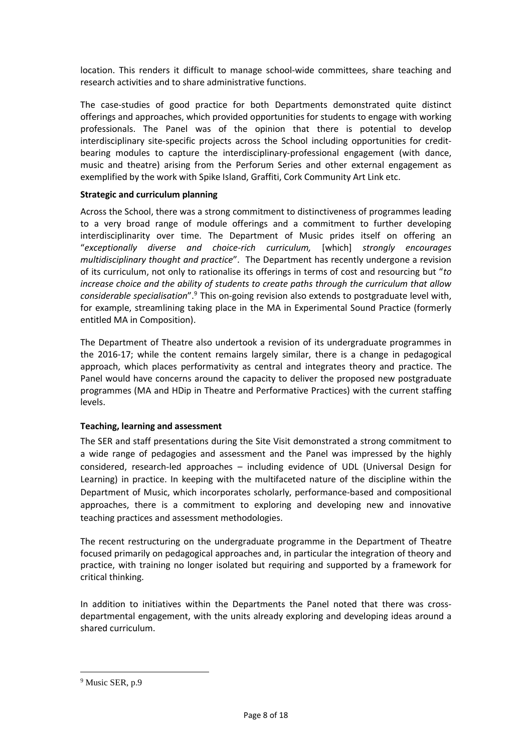location. This renders it difficult to manage school-wide committees, share teaching and research activities and to share administrative functions.

The case-studies of good practice for both Departments demonstrated quite distinct offerings and approaches, which provided opportunities for students to engage with working professionals. The Panel was of the opinion that there is potential to develop interdisciplinary site-specific projects across the School including opportunities for creditbearing modules to capture the interdisciplinary-professional engagement (with dance, music and theatre) arising from the Perforum Series and other external engagement as exemplified by the work with Spike Island, Graffiti, Cork Community Art Link etc.

#### **Strategic and curriculum planning**

Across the School, there was a strong commitment to distinctiveness of programmes leading to a very broad range of module offerings and a commitment to further developing interdisciplinarity over time. The Department of Music prides itself on offering an "*exceptionally diverse and choice-rich curriculum,* [which] *strongly encourages multidisciplinary thought and practice*". The Department has recently undergone a revision of its curriculum, not only to rationalise its offerings in terms of cost and resourcing but "*to increase choice and the ability of students to create paths through the curriculum that allow considerable specialisation*". <sup>9</sup> This on-going revision also extends to postgraduate level with, for example, streamlining taking place in the MA in Experimental Sound Practice (formerly entitled MA in Composition).

The Department of Theatre also undertook a revision of its undergraduate programmes in the 2016-17; while the content remains largely similar, there is a change in pedagogical approach, which places performativity as central and integrates theory and practice. The Panel would have concerns around the capacity to deliver the proposed new postgraduate programmes (MA and HDip in Theatre and Performative Practices) with the current staffing levels.

#### **Teaching, learning and assessment**

The SER and staff presentations during the Site Visit demonstrated a strong commitment to a wide range of pedagogies and assessment and the Panel was impressed by the highly considered, research-led approaches – including evidence of UDL (Universal Design for Learning) in practice. In keeping with the multifaceted nature of the discipline within the Department of Music, which incorporates scholarly, performance-based and compositional approaches, there is a commitment to exploring and developing new and innovative teaching practices and assessment methodologies.

The recent restructuring on the undergraduate programme in the Department of Theatre focused primarily on pedagogical approaches and, in particular the integration of theory and practice, with training no longer isolated but requiring and supported by a framework for critical thinking.

In addition to initiatives within the Departments the Panel noted that there was crossdepartmental engagement, with the units already exploring and developing ideas around a shared curriculum.

<sup>&</sup>lt;sup>9</sup> Music SER, p.9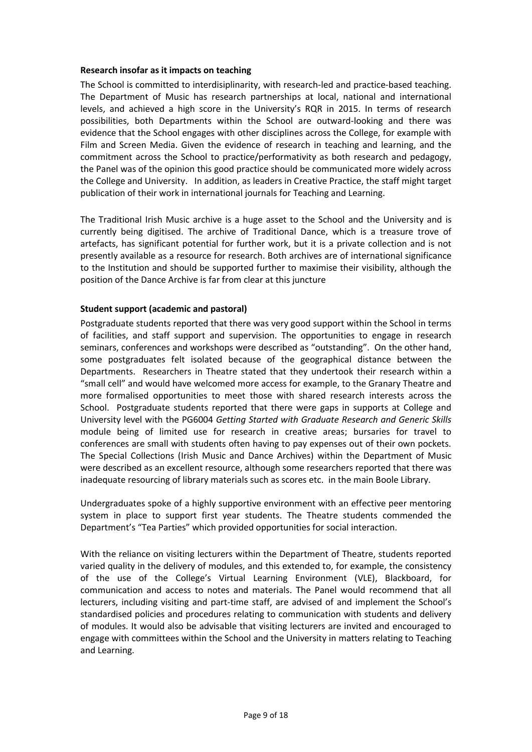#### **Research insofar as it impacts on teaching**

The School is committed to interdisiplinarity, with research-led and practice-based teaching. The Department of Music has research partnerships at local, national and international levels, and achieved a high score in the University's RQR in 2015. In terms of research possibilities, both Departments within the School are outward-looking and there was evidence that the School engages with other disciplines across the College, for example with Film and Screen Media. Given the evidence of research in teaching and learning, and the commitment across the School to practice/performativity as both research and pedagogy, the Panel was of the opinion this good practice should be communicated more widely across the College and University. In addition, as leaders in Creative Practice, the staff might target publication of their work in international journals for Teaching and Learning.

The Traditional Irish Music archive is a huge asset to the School and the University and is currently being digitised. The archive of Traditional Dance, which is a treasure trove of artefacts, has significant potential for further work, but it is a private collection and is not presently available as a resource for research. Both archives are of international significance to the Institution and should be supported further to maximise their visibility, although the position of the Dance Archive is far from clear at this juncture

#### **Student support (academic and pastoral)**

Postgraduate students reported that there was very good support within the School in terms of facilities, and staff support and supervision. The opportunities to engage in research seminars, conferences and workshops were described as "outstanding". On the other hand, some postgraduates felt isolated because of the geographical distance between the Departments. Researchers in Theatre stated that they undertook their research within a "small cell" and would have welcomed more access for example, to the Granary Theatre and more formalised opportunities to meet those with shared research interests across the School. Postgraduate students reported that there were gaps in supports at College and University level with the PG6004 *Getting Started with Graduate Research and Generic Skills* module being of limited use for research in creative areas; bursaries for travel to conferences are small with students often having to pay expenses out of their own pockets. The Special Collections (Irish Music and Dance Archives) within the Department of Music were described as an excellent resource, although some researchers reported that there was inadequate resourcing of library materials such as scores etc. in the main Boole Library.

Undergraduates spoke of a highly supportive environment with an effective peer mentoring system in place to support first year students. The Theatre students commended the Department's "Tea Parties" which provided opportunities for social interaction.

With the reliance on visiting lecturers within the Department of Theatre, students reported varied quality in the delivery of modules, and this extended to, for example, the consistency of the use of the College's Virtual Learning Environment (VLE), Blackboard, for communication and access to notes and materials. The Panel would recommend that all lecturers, including visiting and part-time staff, are advised of and implement the School's standardised policies and procedures relating to communication with students and delivery of modules. It would also be advisable that visiting lecturers are invited and encouraged to engage with committees within the School and the University in matters relating to Teaching and Learning.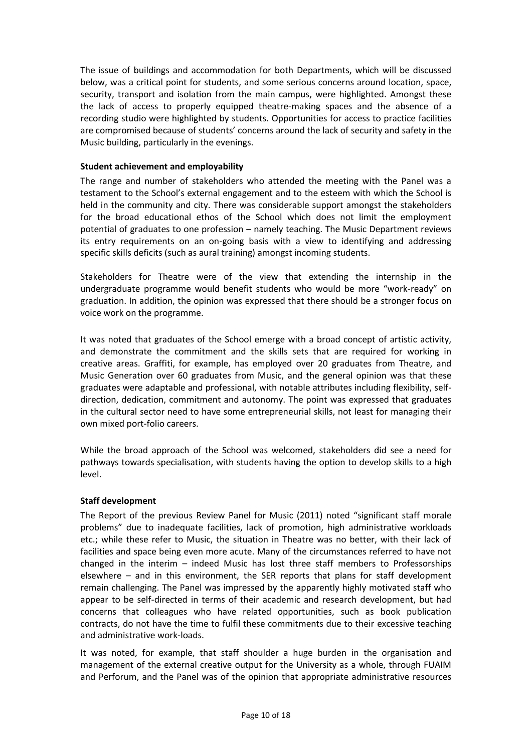The issue of buildings and accommodation for both Departments, which will be discussed below, was a critical point for students, and some serious concerns around location, space, security, transport and isolation from the main campus, were highlighted. Amongst these the lack of access to properly equipped theatre-making spaces and the absence of a recording studio were highlighted by students. Opportunities for access to practice facilities are compromised because of students' concerns around the lack of security and safety in the Music building, particularly in the evenings.

#### **Student achievement and employability**

The range and number of stakeholders who attended the meeting with the Panel was a testament to the School's external engagement and to the esteem with which the School is held in the community and city. There was considerable support amongst the stakeholders for the broad educational ethos of the School which does not limit the employment potential of graduates to one profession – namely teaching. The Music Department reviews its entry requirements on an on-going basis with a view to identifying and addressing specific skills deficits (such as aural training) amongst incoming students.

Stakeholders for Theatre were of the view that extending the internship in the undergraduate programme would benefit students who would be more "work-ready" on graduation. In addition, the opinion was expressed that there should be a stronger focus on voice work on the programme.

It was noted that graduates of the School emerge with a broad concept of artistic activity, and demonstrate the commitment and the skills sets that are required for working in creative areas. Graffiti, for example, has employed over 20 graduates from Theatre, and Music Generation over 60 graduates from Music, and the general opinion was that these graduates were adaptable and professional, with notable attributes including flexibility, selfdirection, dedication, commitment and autonomy. The point was expressed that graduates in the cultural sector need to have some entrepreneurial skills, not least for managing their own mixed port-folio careers.

While the broad approach of the School was welcomed, stakeholders did see a need for pathways towards specialisation, with students having the option to develop skills to a high level.

#### **Staff development**

The Report of the previous Review Panel for Music (2011) noted "significant staff morale problems" due to inadequate facilities, lack of promotion, high administrative workloads etc.; while these refer to Music, the situation in Theatre was no better, with their lack of facilities and space being even more acute. Many of the circumstances referred to have not changed in the interim – indeed Music has lost three staff members to Professorships elsewhere – and in this environment, the SER reports that plans for staff development remain challenging. The Panel was impressed by the apparently highly motivated staff who appear to be self-directed in terms of their academic and research development, but had concerns that colleagues who have related opportunities, such as book publication contracts, do not have the time to fulfil these commitments due to their excessive teaching and administrative work-loads.

It was noted, for example, that staff shoulder a huge burden in the organisation and management of the external creative output for the University as a whole, through FUAIM and Perforum, and the Panel was of the opinion that appropriate administrative resources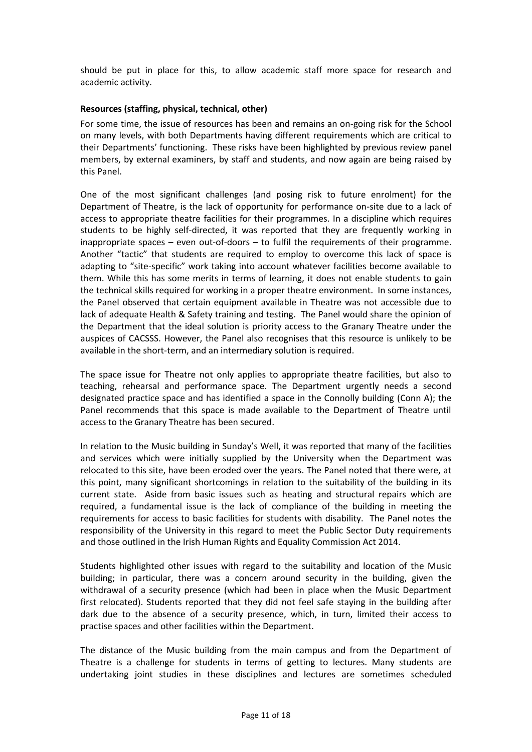should be put in place for this, to allow academic staff more space for research and academic activity.

#### **Resources (staffing, physical, technical, other)**

For some time, the issue of resources has been and remains an on-going risk for the School on many levels, with both Departments having different requirements which are critical to their Departments' functioning. These risks have been highlighted by previous review panel members, by external examiners, by staff and students, and now again are being raised by this Panel.

One of the most significant challenges (and posing risk to future enrolment) for the Department of Theatre, is the lack of opportunity for performance on-site due to a lack of access to appropriate theatre facilities for their programmes. In a discipline which requires students to be highly self-directed, it was reported that they are frequently working in inappropriate spaces – even out-of-doors – to fulfil the requirements of their programme. Another "tactic" that students are required to employ to overcome this lack of space is adapting to "site-specific" work taking into account whatever facilities become available to them. While this has some merits in terms of learning, it does not enable students to gain the technical skills required for working in a proper theatre environment. In some instances, the Panel observed that certain equipment available in Theatre was not accessible due to lack of adequate Health & Safety training and testing. The Panel would share the opinion of the Department that the ideal solution is priority access to the Granary Theatre under the auspices of CACSSS. However, the Panel also recognises that this resource is unlikely to be available in the short-term, and an intermediary solution is required.

The space issue for Theatre not only applies to appropriate theatre facilities, but also to teaching, rehearsal and performance space. The Department urgently needs a second designated practice space and has identified a space in the Connolly building (Conn A); the Panel recommends that this space is made available to the Department of Theatre until access to the Granary Theatre has been secured.

In relation to the Music building in Sunday's Well, it was reported that many of the facilities and services which were initially supplied by the University when the Department was relocated to this site, have been eroded over the years. The Panel noted that there were, at this point, many significant shortcomings in relation to the suitability of the building in its current state. Aside from basic issues such as heating and structural repairs which are required, a fundamental issue is the lack of compliance of the building in meeting the requirements for access to basic facilities for students with disability. The Panel notes the responsibility of the University in this regard to meet the Public Sector Duty requirements and those outlined in the Irish Human Rights and Equality Commission Act 2014.

Students highlighted other issues with regard to the suitability and location of the Music building; in particular, there was a concern around security in the building, given the withdrawal of a security presence (which had been in place when the Music Department first relocated). Students reported that they did not feel safe staying in the building after dark due to the absence of a security presence, which, in turn, limited their access to practise spaces and other facilities within the Department.

The distance of the Music building from the main campus and from the Department of Theatre is a challenge for students in terms of getting to lectures. Many students are undertaking joint studies in these disciplines and lectures are sometimes scheduled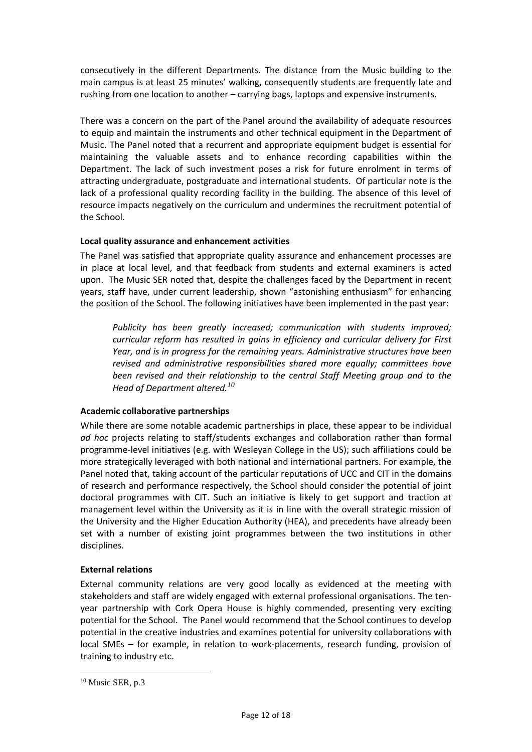consecutively in the different Departments. The distance from the Music building to the main campus is at least 25 minutes' walking, consequently students are frequently late and rushing from one location to another – carrying bags, laptops and expensive instruments.

There was a concern on the part of the Panel around the availability of adequate resources to equip and maintain the instruments and other technical equipment in the Department of Music. The Panel noted that a recurrent and appropriate equipment budget is essential for maintaining the valuable assets and to enhance recording capabilities within the Department. The lack of such investment poses a risk for future enrolment in terms of attracting undergraduate, postgraduate and international students. Of particular note is the lack of a professional quality recording facility in the building. The absence of this level of resource impacts negatively on the curriculum and undermines the recruitment potential of the School.

## **Local quality assurance and enhancement activities**

The Panel was satisfied that appropriate quality assurance and enhancement processes are in place at local level, and that feedback from students and external examiners is acted upon. The Music SER noted that, despite the challenges faced by the Department in recent years, staff have, under current leadership, shown "astonishing enthusiasm" for enhancing the position of the School. The following initiatives have been implemented in the past year:

*Publicity has been greatly increased; communication with students improved; curricular reform has resulted in gains in efficiency and curricular delivery for First Year, and is in progress for the remaining years. Administrative structures have been revised and administrative responsibilities shared more equally; committees have been revised and their relationship to the central Staff Meeting group and to the Head of Department altered.<sup>10</sup>*

# **Academic collaborative partnerships**

While there are some notable academic partnerships in place, these appear to be individual *ad hoc* projects relating to staff/students exchanges and collaboration rather than formal programme-level initiatives (e.g. with Wesleyan College in the US); such affiliations could be more strategically leveraged with both national and international partners. For example, the Panel noted that, taking account of the particular reputations of UCC and CIT in the domains of research and performance respectively, the School should consider the potential of joint doctoral programmes with CIT. Such an initiative is likely to get support and traction at management level within the University as it is in line with the overall strategic mission of the University and the Higher Education Authority (HEA), and precedents have already been set with a number of existing joint programmes between the two institutions in other disciplines.

#### **External relations**

External community relations are very good locally as evidenced at the meeting with stakeholders and staff are widely engaged with external professional organisations. The tenyear partnership with Cork Opera House is highly commended, presenting very exciting potential for the School. The Panel would recommend that the School continues to develop potential in the creative industries and examines potential for university collaborations with local SMEs – for example, in relation to work-placements, research funding, provision of training to industry etc.

<sup>&</sup>lt;sup>10</sup> Music SER, p.3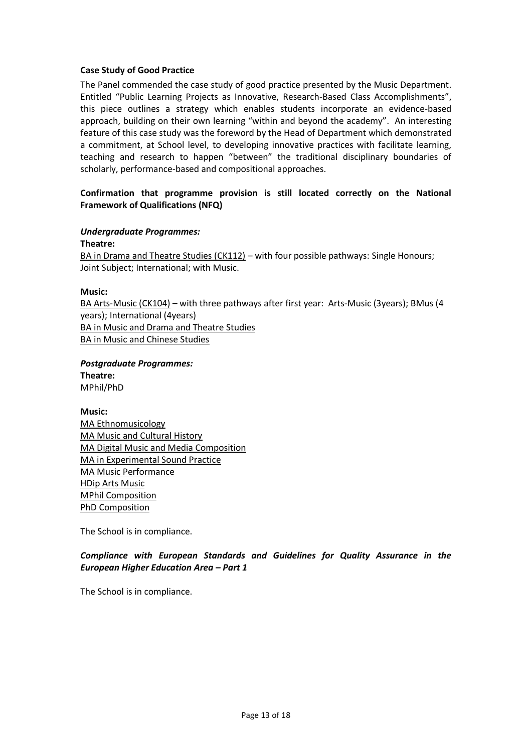#### **Case Study of Good Practice**

The Panel commended the case study of good practice presented by the Music Department. Entitled "Public Learning Projects as Innovative, Research-Based Class Accomplishments", this piece outlines a strategy which enables students incorporate an evidence-based approach, building on their own learning "within and beyond the academy". An interesting feature of this case study was the foreword by the Head of Department which demonstrated a commitment, at School level, to developing innovative practices with facilitate learning, teaching and research to happen "between" the traditional disciplinary boundaries of scholarly, performance-based and compositional approaches.

## **Confirmation that programme provision is still located correctly on the National Framework of Qualifications (NFQ)**

#### *Undergraduate Programmes:*

**Theatre:** BA in Drama and Theatre Studies (CK112) – with four possible pathways: Single Honours; Joint Subject; International; with Music.

#### **Music:**

BA Arts-Music (CK104) – with three pathways after first year: Arts-Music (3years); BMus (4 years); International (4years) BA in Music and Drama and Theatre Studies BA in Music and Chinese Studies

*Postgraduate Programmes:* **Theatre:** MPhil/PhD

#### **Music:**

MA Ethnomusicology MA Music and Cultural History MA Digital Music and Media Composition MA in Experimental Sound Practice MA Music Performance HDip Arts Music MPhil Composition PhD Composition

The School is in compliance.

*Compliance with European Standards and Guidelines for Quality Assurance in the European Higher Education Area – Part 1*

The School is in compliance.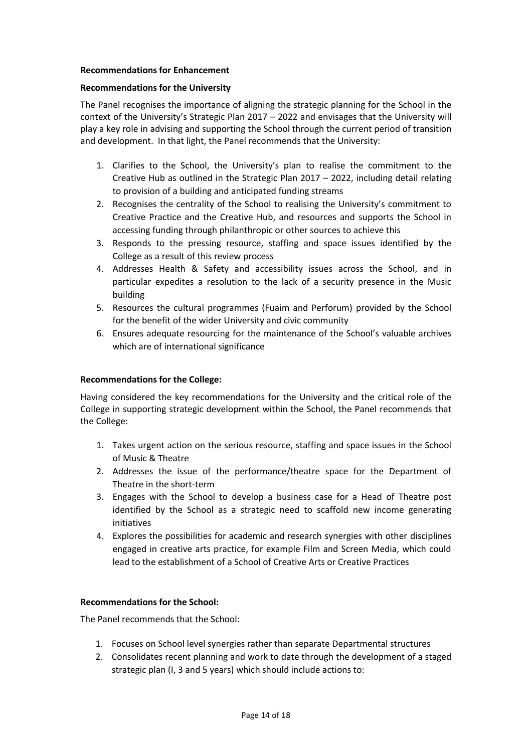#### <span id="page-13-0"></span>**Recommendations for Enhancement**

#### <span id="page-13-1"></span>**Recommendations for the University**

The Panel recognises the importance of aligning the strategic planning for the School in the context of the University's Strategic Plan 2017 – 2022 and envisages that the University will play a key role in advising and supporting the School through the current period of transition and development. In that light, the Panel recommends that the University:

- 1. Clarifies to the School, the University's plan to realise the commitment to the Creative Hub as outlined in the Strategic Plan 2017 – 2022, including detail relating to provision of a building and anticipated funding streams
- 2. Recognises the centrality of the School to realising the University's commitment to Creative Practice and the Creative Hub, and resources and supports the School in accessing funding through philanthropic or other sources to achieve this
- 3. Responds to the pressing resource, staffing and space issues identified by the College as a result of this review process
- 4. Addresses Health & Safety and accessibility issues across the School, and in particular expedites a resolution to the lack of a security presence in the Music building
- 5. Resources the cultural programmes (Fuaim and Perforum) provided by the School for the benefit of the wider University and civic community
- 6. Ensures adequate resourcing for the maintenance of the School's valuable archives which are of international significance

#### <span id="page-13-2"></span>**Recommendations for the College:**

Having considered the key recommendations for the University and the critical role of the College in supporting strategic development within the School, the Panel recommends that the College:

- 1. Takes urgent action on the serious resource, staffing and space issues in the School of Music & Theatre
- 2. Addresses the issue of the performance/theatre space for the Department of Theatre in the short-term
- 3. Engages with the School to develop a business case for a Head of Theatre post identified by the School as a strategic need to scaffold new income generating initiatives
- 4. Explores the possibilities for academic and research synergies with other disciplines engaged in creative arts practice, for example Film and Screen Media, which could lead to the establishment of a School of Creative Arts or Creative Practices

#### <span id="page-13-3"></span>**Recommendations for the School:**

The Panel recommends that the School:

- 1. Focuses on School level synergies rather than separate Departmental structures
- 2. Consolidates recent planning and work to date through the development of a staged strategic plan (I, 3 and 5 years) which should include actions to: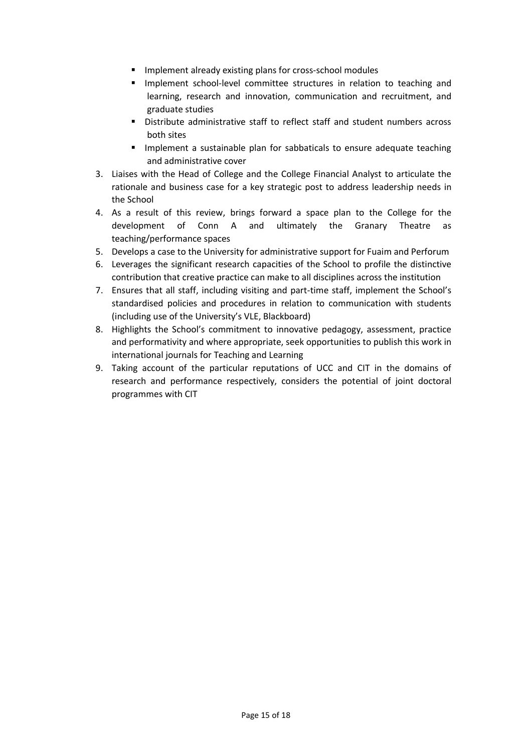- **IMPLEMENTE IMPLEMENT EXAM** Implement already existing plans for cross-school modules
- **Implement school-level committee structures in relation to teaching and** learning, research and innovation, communication and recruitment, and graduate studies
- Distribute administrative staff to reflect staff and student numbers across both sites
- **Implement a sustainable plan for sabbaticals to ensure adequate teaching** and administrative cover
- 3. Liaises with the Head of College and the College Financial Analyst to articulate the rationale and business case for a key strategic post to address leadership needs in the School
- 4. As a result of this review, brings forward a space plan to the College for the development of Conn A and ultimately the Granary Theatre as teaching/performance spaces
- 5. Develops a case to the University for administrative support for Fuaim and Perforum
- 6. Leverages the significant research capacities of the School to profile the distinctive contribution that creative practice can make to all disciplines across the institution
- 7. Ensures that all staff, including visiting and part-time staff, implement the School's standardised policies and procedures in relation to communication with students (including use of the University's VLE, Blackboard)
- 8. Highlights the School's commitment to innovative pedagogy, assessment, practice and performativity and where appropriate, seek opportunities to publish this work in international journals for Teaching and Learning
- 9. Taking account of the particular reputations of UCC and CIT in the domains of research and performance respectively, considers the potential of joint doctoral programmes with CIT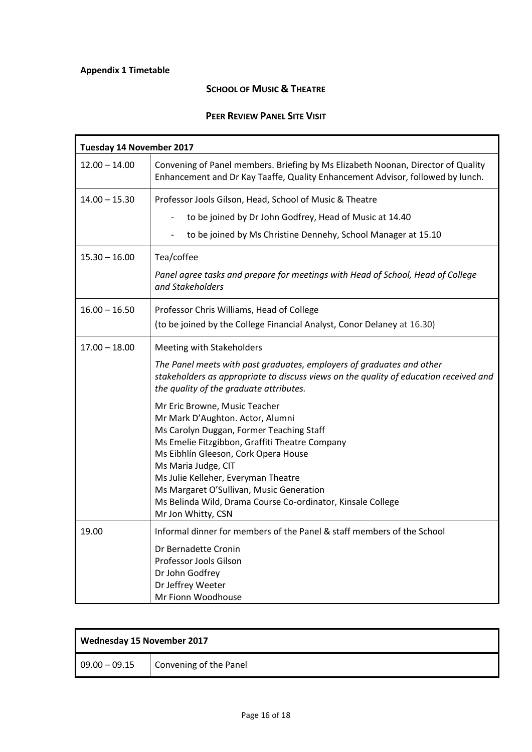# <span id="page-15-0"></span>**Appendix 1 Timetable**

# **SCHOOL OF MUSIC & THEATRE**

# **PEER REVIEW PANEL SITE VISIT**

| Tuesday 14 November 2017 |                                                                                                                                                                    |  |
|--------------------------|--------------------------------------------------------------------------------------------------------------------------------------------------------------------|--|
| $12.00 - 14.00$          | Convening of Panel members. Briefing by Ms Elizabeth Noonan, Director of Quality<br>Enhancement and Dr Kay Taaffe, Quality Enhancement Advisor, followed by lunch. |  |
| $14.00 - 15.30$          | Professor Jools Gilson, Head, School of Music & Theatre                                                                                                            |  |
|                          | to be joined by Dr John Godfrey, Head of Music at 14.40                                                                                                            |  |
|                          | to be joined by Ms Christine Dennehy, School Manager at 15.10                                                                                                      |  |
| $15.30 - 16.00$          | Tea/coffee                                                                                                                                                         |  |
|                          | Panel agree tasks and prepare for meetings with Head of School, Head of College<br>and Stakeholders                                                                |  |
| $16.00 - 16.50$          | Professor Chris Williams, Head of College                                                                                                                          |  |
|                          | (to be joined by the College Financial Analyst, Conor Delaney at 16.30)                                                                                            |  |
| $17.00 - 18.00$          | Meeting with Stakeholders                                                                                                                                          |  |
|                          | The Panel meets with past graduates, employers of graduates and other                                                                                              |  |
|                          | stakeholders as appropriate to discuss views on the quality of education received and<br>the quality of the graduate attributes.                                   |  |
|                          | Mr Eric Browne, Music Teacher                                                                                                                                      |  |
|                          | Mr Mark D'Aughton. Actor, Alumni<br>Ms Carolyn Duggan, Former Teaching Staff                                                                                       |  |
|                          | Ms Emelie Fitzgibbon, Graffiti Theatre Company                                                                                                                     |  |
|                          | Ms Eibhlín Gleeson, Cork Opera House                                                                                                                               |  |
|                          | Ms Maria Judge, CIT<br>Ms Julie Kelleher, Everyman Theatre                                                                                                         |  |
|                          | Ms Margaret O'Sullivan, Music Generation                                                                                                                           |  |
|                          | Ms Belinda Wild, Drama Course Co-ordinator, Kinsale College                                                                                                        |  |
|                          | Mr Jon Whitty, CSN                                                                                                                                                 |  |
| 19.00                    | Informal dinner for members of the Panel & staff members of the School                                                                                             |  |
|                          | Dr Bernadette Cronin<br>Professor Jools Gilson                                                                                                                     |  |
|                          | Dr John Godfrey                                                                                                                                                    |  |
|                          | Dr Jeffrey Weeter                                                                                                                                                  |  |
|                          | Mr Fionn Woodhouse                                                                                                                                                 |  |

| Wednesday 15 November 2017 |                        |
|----------------------------|------------------------|
| $09.00 - 09.15$            | Convening of the Panel |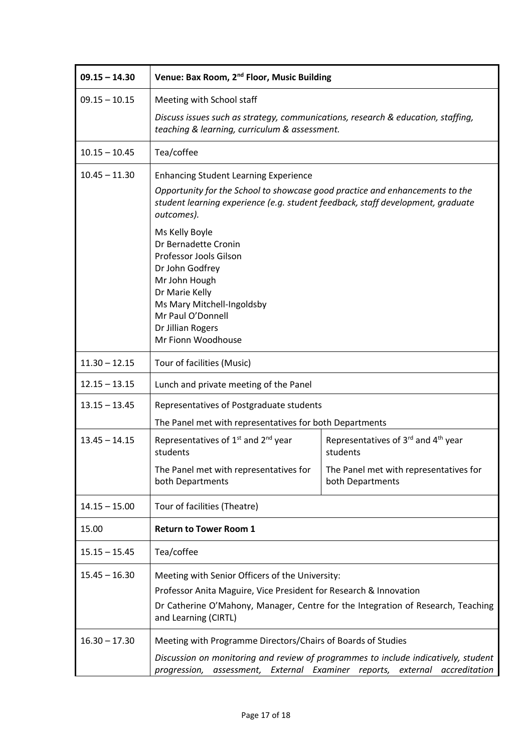| $09.15 - 14.30$ | Venue: Bax Room, 2 <sup>nd</sup> Floor, Music Building                                                                                                                                                                           |                                                                                                                                            |
|-----------------|----------------------------------------------------------------------------------------------------------------------------------------------------------------------------------------------------------------------------------|--------------------------------------------------------------------------------------------------------------------------------------------|
| $09.15 - 10.15$ | Meeting with School staff                                                                                                                                                                                                        |                                                                                                                                            |
|                 | Discuss issues such as strategy, communications, research & education, staffing,<br>teaching & learning, curriculum & assessment.                                                                                                |                                                                                                                                            |
| $10.15 - 10.45$ | Tea/coffee                                                                                                                                                                                                                       |                                                                                                                                            |
| $10.45 - 11.30$ | <b>Enhancing Student Learning Experience</b><br>Opportunity for the School to showcase good practice and enhancements to the<br>student learning experience (e.g. student feedback, staff development, graduate<br>outcomes).    |                                                                                                                                            |
|                 | Ms Kelly Boyle<br>Dr Bernadette Cronin<br>Professor Jools Gilson<br>Dr John Godfrey<br>Mr John Hough<br>Dr Marie Kelly<br>Ms Mary Mitchell-Ingoldsby<br>Mr Paul O'Donnell<br>Dr Jillian Rogers<br>Mr Fionn Woodhouse             |                                                                                                                                            |
| $11.30 - 12.15$ | Tour of facilities (Music)                                                                                                                                                                                                       |                                                                                                                                            |
| $12.15 - 13.15$ | Lunch and private meeting of the Panel                                                                                                                                                                                           |                                                                                                                                            |
| $13.15 - 13.45$ | Representatives of Postgraduate students                                                                                                                                                                                         |                                                                                                                                            |
|                 | The Panel met with representatives for both Departments                                                                                                                                                                          |                                                                                                                                            |
| $13.45 - 14.15$ | Representatives of 1 <sup>st</sup> and 2 <sup>nd</sup> year<br>students                                                                                                                                                          | Representatives of 3rd and 4 <sup>th</sup> year<br>students                                                                                |
|                 | The Panel met with representatives for<br>both Departments                                                                                                                                                                       | The Panel met with representatives for<br>both Departments                                                                                 |
| $14.15 - 15.00$ | Tour of facilities (Theatre)                                                                                                                                                                                                     |                                                                                                                                            |
| 15.00           | <b>Return to Tower Room 1</b>                                                                                                                                                                                                    |                                                                                                                                            |
| $15.15 - 15.45$ | Tea/coffee                                                                                                                                                                                                                       |                                                                                                                                            |
| $15.45 - 16.30$ | Meeting with Senior Officers of the University:<br>Professor Anita Maguire, Vice President for Research & Innovation<br>Dr Catherine O'Mahony, Manager, Centre for the Integration of Research, Teaching<br>and Learning (CIRTL) |                                                                                                                                            |
| $16.30 - 17.30$ | Meeting with Programme Directors/Chairs of Boards of Studies<br>progression,<br>assessment,                                                                                                                                      | Discussion on monitoring and review of programmes to include indicatively, student<br>External Examiner reports,<br>external accreditation |